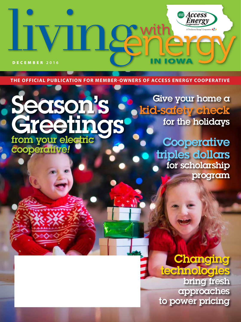DECEMBER **2016**

V.

**THE OFFICIAL PUBLICATION FOR MEMBER-OWNERS OF ACCESS ENERGY COOPERATIVE**

# Season's Greetings from your electric cooperative*!*

Give your home a kid-safety check for the holidays

**IOW** 

**Access**<br>Energy

Cooperative AD

**Cooperative** triples dollars for scholarship program

**Changing** technologies bring fresh approaches to power pricing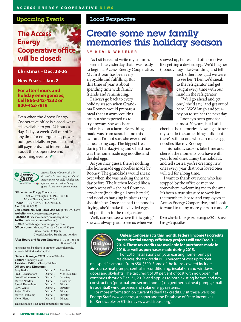#### Upcoming Events

# **The Access Energy Cooperative office will be closed:**

**Christmas – Dec. 23-26**

**New Year's – Jan. 2**

**For after-hours and holiday emergencies, Call 866-242-4232 or 800-452-7819**

Even when the Access Energy Cooperative office is closed, we're still available to you 24 hours a day, 7 days a week. Call our office any time for emergencies, power outages, details on your account, bill payments, and information about the cooperative and upcoming events. *≸* 



*Access Energy Cooperative is dedicated to exceeding members' expectations for safe, reliable and efficient service, while being a good citizen in our communities.*

**Office:** Access Energy Cooperative 1800 W. Washington St., P.O. Box 440 Mount Pleasant, Iowa 52641 **Phone:** 319-385-1577 or 866-242-4232 **Fax:** 319-385-6873 **Call Before You Dig (Iowa One Call):** 800-292-8989 **Website:** www.accessenergycoop.com **Facebook:** facebook.com/AccessEnergyCoop **Twitter:** twitter.com/AccessEnergyC **E-mail:** contactus@accessenergycoop.com **Office Hours:** Monday-Thursday, 7 a.m.-4:30 p.m. Friday, 7 a.m.-3:30 p.m. Closed Saturday, Sunday and holidays

**After Hours and Report Outages:** 319-385-1580 or 800-452-7819

Payments can be placed in dropbox under flag pole. Visa and MasterCard accepted.

| <b>General Manager/CEO:</b> Kevin Wheeler<br><b>Editor:</b> Kimberly Davis<br><b>Assistant Editor:</b> Cherity Wibben<br><b>Officers and Directors:</b> |            |           |                          |            |                |
|---------------------------------------------------------------------------------------------------------------------------------------------------------|------------|-----------|--------------------------|------------|----------------|
|                                                                                                                                                         |            |           | Jerry Barker             | District 2 | President      |
|                                                                                                                                                         |            |           | <b>Fred Hickenbottom</b> | District 1 | Vice President |
|                                                                                                                                                         |            |           | David Hollingsworth      | District 1 | Secretary      |
| Marvin Newton                                                                                                                                           | District 3 | Treasurer |                          |            |                |
| Joseph Heckethorn                                                                                                                                       | District 1 | Director  |                          |            |                |
| Larry White                                                                                                                                             | District 2 | Director  |                          |            |                |
| Robert Smith                                                                                                                                            | District 2 | Director  |                          |            |                |
| Marvin Holtkamp                                                                                                                                         | District 3 | Director  |                          |            |                |
| Victor Pierrot                                                                                                                                          | District 3 | Director  |                          |            |                |
| This institution is an equal opportunity provider.                                                                                                      |            |           |                          |            |                |

#### Local Perspective

# Create some new family memories this holiday season

#### **BY KEVIN WHEELER**

As I sit here and write my column, it seems like yesterday that I was ready to begin at Access Energy Cooperative.

My first year has been very enjoyable and fulfilling. But this time of year is about spending time with family, friends and reminiscing.

I always go back to every holiday season when Grandma Rooney would prepare a meal that an army couldn't eat, but she expected us to

try anyway. She was born and raised on a farm. Everything she made was from scratch – no mixes – and I'm not sure she ever used a measuring cup. The biggest treat during Thanksgiving and Christmas was the homemade egg noodles and deviled eggs.

As you may guess, there's nothing like homemade egg noodles made by Rooney. The grandkids would sneak over when she was making them the day before. The kitchen looked like a bomb went off – she had flour everywhere (including all over herself) and noodles hanging in places they shouldn't be. Once she had the noodles drying, she'd make the deviled eggs and put them in the refrigerator.

Well, can you see where this is going? She was always glad to see us when we

showed up, but we had other motives – like getting a deviled egg. We'd hug her (nobody hugs like Grandma) and tell

each other how glad we were to see her. Then we'd sneak to the refrigerator and get caught every time with our hand in the refrigerator.

 "Well go ahead and get one," she'd say, "and get out of here." We'd laugh and journey on to see her the next day.

Rooney's been gone for almost 20 years, but I still

cherish the memories. Now, I get to see my son do the same things I did, but there's still no one who can make egg noodles like my Rooney.

This holiday season, take time and cherish the moments you have with your loved ones. Enjoy the holidays, and tell stories; you're creating new ones every year that your loved ones will tell for a long time.

I want to thank everyone who has stopped by the office or met me somewhere, welcoming me to the area. It's been a true pleasure to work for the members, board and employees at Access Energy Cooperative, and I look forward to many more years to come. *≢* 

Kevin Wheeler is the general manager/CEO of Access Energy Cooperative.



**Unless Congress acts this month, federal income tax credits for residential energy efficiency projects will end Dec. 31, 2016. These tax credits are available for purchases made in 2016, as well as purchases made during 2015.**

For 2016 installations on your existing home (principal residence), the tax credit is 10 percent of cost up to \$500

or a specific amount from \$50-\$300. Some of the items covered include air-source heat pumps, central air-conditioning, insulation and windows, doors and skylights. The tax credit of 30 percent of cost with no upper limit continues through Dec. 31, 2019, and applies to both existing homes and new construction (principal and second homes) on geothermal heat pumps, small (residential) wind turbines and solar energy systems.

For more information on current federal tax credits, visit these websites: Energy Star® (www.energystar.gov) and the Database of State Incentives for Renewables & Efficiency (www.dsireusa.org).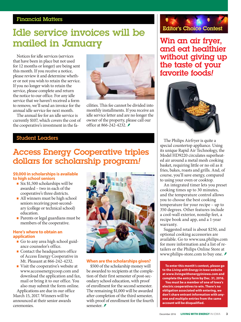### Financial Matters

# Idle service invoices will be mailed in January

Notices for idle services (services that have been in place but not used for 12 months or longer) are being sent this month. If you receive a notice, please review it and determine whether or not you wish to retain the service. If you no longer wish to retain the service, please complete and return the notice to our office. For any idle service that we haven't received a form to remove, we'll send an invoice for the annual idle service fee next month.

The annual fee for an idle service is currently \$107, which covers the cost of the cooperative's investment in the fa-



cilities. This fee cannot be divided into monthly installments. If you receive an idle service letter and are no longer the owner of the property, please call our office at 866-242-4232. *≢* 

### Student Leaders

# Access Energy Cooperative triples dollars for scholarship program*!*

#### **\$9,000 in scholarships is available to high school seniors**

- Six \$1,500 scholarships will be awarded – two in each of the cooperative's three districts.
- All winners must be high school seniors receiving post-secondary (college or technical school) education.
- **Parents or legal guardians must be** members of the cooperative.

#### **Here's where to obtain an application**

- Go to any area high school guidance counselor's office.
- **Contact the headquarters office** of Access Energy Cooperative in Mt. Pleasant at 866-242-4232.
- Visit the cooperative's website at www.accessenergycoop.com and download the application and fax, mail or bring it to our office. You also may submit the form online.

Applications are due in our office March 15, 2017. Winners will be announced at their senior awards ceremonies.



#### **When are the scholarships given?**

\$500 of the scholarship money will be awarded to recipients at the completion of their first semester of post-secondary school education, with proof of enrollment for the second semester. The remaining \$1,000 will be awarded after completion of the third semester, with proof of enrollment for the fourth semester. *₹* 



Win an air fryer, and eat healthier without giving up the taste of your favorite foods*!*



The Philips Airfryer is quite a special countertop appliance. Using its unique Rapid Air Technology, the Model HD9220 circulates superheated air around a metal mesh cooking basket, requiring little or no oil as it fries, bakes, roasts and grills. And, of course, you'll save energy, compared to using your oven or cooktop.

An integrated timer lets you preset cooking times up to 30 minutes, and the temperature control allows you to choose the best cooking temperature for your recipe – up to 350 degrees. Other features include a cool-wall exterior, nonslip feet, a recipe book and app, and a 1-year warranty.

Suggested retail is about \$250, and optional cooking accessories are available. Go to www.usa.philips.com for more information and a list of retailers or the Philips Online Store at www.philips-store.com to buy one. *≢* 

**To enter this month's contest, please go to the** *Living with Energy in Iowa* **website at www.livingwithenergyiniowa.com and complete the entry form by Dec. 31, 2016.** 

**You must be a member of one of Iowa's electric cooperatives to win. There's no obligation associated with entering, we don't share entrant information with anyone and multiple entries from the same account will be disqualified.**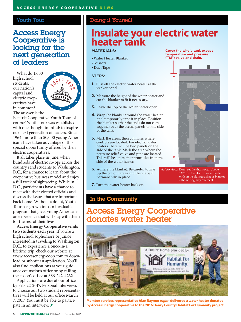#### Youth Tour

### Access Energy Cooperative is looking for the next generation of leaders

What do 1,600 high school students, our nation's capital and electric cooperatives have in common? The answer is the



Electric Cooperative Youth Tour, of course! Youth Tour was established with one thought in mind: to inspire our next generation of leaders. Since 1964, more than 50,000 young Americans have taken advantage of this special opportunity offered by their electric cooperatives.

It all takes place in June, when hundreds of electric co-ops across the country send students to Washington, D.C., for a chance to learn about the cooperative business model and enjoy a full week of sightseeing. While in D.C., participants have a chance to meet with their elected officials and discuss the issues that are important back home. Without a doubt, Youth Tour has grown into an invaluable program that gives young Americans an experience that will stay with them for the rest of their lives.

**Access Energy Cooperative sends two students each year.** If you're a high school sophomore or junior interested in traveling to Washington, D.C., to experience a once-in-a lifetime trip, check our website at www.accessenergycoop.com to download or submit an application. You'll also find applications at your guidance counselor's office or by calling the co-op's office at 866-242-4232.

Applications are due at our office by Feb. 27, 2017. Personal interviews to choose our two student representatives will be held at our office March 7, 2017. You must be able to participate in an interview.

#### Doing it Yourself

# **Insulate your electric water Water Heater Tank heater tank Insulate Your Electric Water Heater Tank**

#### **MATERIALS:**

- Water Heater Blanket Water Heater Blanket
- Scissors
- Duct Tape

#### **STEPS:**

- **1.** Turn off the electric water heater at the breaker panel. **2.** Measure the height of the water heater and
- **2.** Measure the height of the water heater and cut the blanket to fit if necessary.
- **3.** Leave the top of the water heater open.
- **4.** Wrap the blanket around the water heater and temporarily tape it in place. Position the blanket so that the ends do not come together over the access panels on the side of the tank. the blanket so that the ends do not come heaters, there will be two panels on the
- **5.** Mark the areas, then cut holes where what where the areas, then cut holes where  $\frac{1}{2}$  controls are located. For electric water heaters, there will be two panels on the side of the tank. Mark the area where the pressure relief valve and pipe are located. This will be a pipe that protrudes from the *Side of the water heater.*
- **6.** Adhere the blanket. Be careful to line up the cut out areas and then tape it permanently in place.
- **7.** Turn the water heater back on.

#### **Cover the whole tank except temperature and pressure Cover the whole tank except temperature and pressure (T&P) valve and drain. (T&P) valve and drain.**



**Safety Note:** Don't set the thermostat above 130ºF on the electric water heater with an insulating jacket or blanket – the wiring may overheat.

with an insulating jacket or blanket

**Safety Note:** Don't set the thermostat above

#### In the Community

### Access Energy Cooperative donates water heater – the wiring may overheat.



**Member services representative Alan Raymer** *(right)***delivered a water heater donated by Access Energy Cooperative to the 2016 Henry County Habitat For Humanity project.**